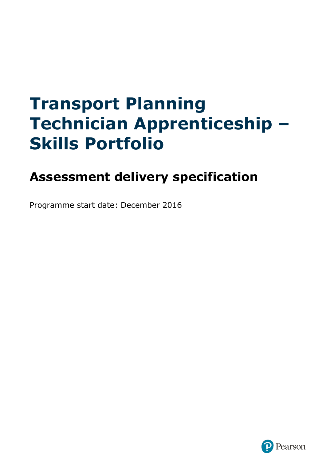# **Transport Planning Technician Apprenticeship – Skills Portfolio**

# **Assessment delivery specification**

Programme start date: December 2016

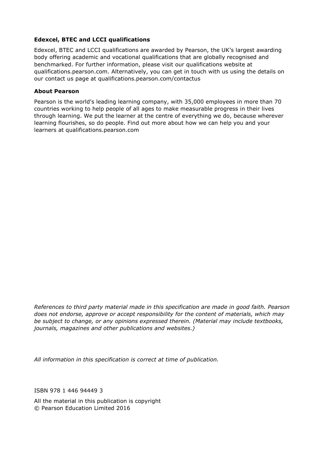#### **Edexcel, BTEC and LCCI qualifications**

Edexcel, BTEC and LCCI qualifications are awarded by Pearson, the UK's largest awarding body offering academic and vocational qualifications that are globally recognised and benchmarked. For further information, please visit our qualifications website at qualifications.pearson.com. Alternatively, you can get in touch with us using the details on our contact us page at qualifications.pearson.com/contactus

#### **About Pearson**

Pearson is the world's leading learning company, with 35,000 employees in more than 70 countries working to help people of all ages to make measurable progress in their lives through learning. We put the learner at the centre of everything we do, because wherever learning flourishes, so do people. Find out more about how we can help you and your learners at qualifications.pearson.com

*References to third party material made in this specification are made in good faith. Pearson does not endorse, approve or accept responsibility for the content of materials, which may be subject to change, or any opinions expressed therein. (Material may include textbooks, journals, magazines and other publications and websites.)*

*All information in this specification is correct at time of publication.*

ISBN 978 1 446 94449 3

All the material in this publication is copyright © Pearson Education Limited 2016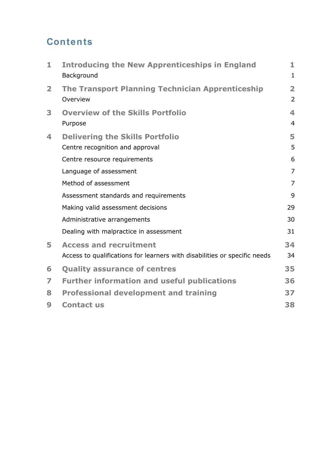# **Contents**

| 1                       | <b>Introducing the New Apprenticeships in England</b><br>Background       | 1<br>$\mathbf{1}$                         |
|-------------------------|---------------------------------------------------------------------------|-------------------------------------------|
| $\overline{\mathbf{2}}$ | <b>The Transport Planning Technician Apprenticeship</b><br>Overview       | $\overline{\mathbf{2}}$<br>$\overline{2}$ |
| 3                       | <b>Overview of the Skills Portfolio</b><br>Purpose                        | 4<br>$\overline{4}$                       |
| 4                       | <b>Delivering the Skills Portfolio</b><br>Centre recognition and approval | 5<br>5                                    |
|                         | Centre resource requirements                                              | 6                                         |
|                         | Language of assessment                                                    | $\overline{7}$                            |
|                         | Method of assessment                                                      | $\overline{7}$                            |
|                         | Assessment standards and requirements                                     | 9                                         |
|                         | Making valid assessment decisions                                         | 29                                        |
|                         | Administrative arrangements                                               | 30                                        |
|                         | Dealing with malpractice in assessment                                    | 31                                        |
| 5                       | <b>Access and recruitment</b>                                             | 34                                        |
|                         | Access to qualifications for learners with disabilities or specific needs | 34                                        |
| 6                       | <b>Quality assurance of centres</b>                                       | 35                                        |
| 7                       | <b>Further information and useful publications</b>                        | 36                                        |
| 8                       | <b>Professional development and training</b>                              | 37                                        |
| 9                       | <b>Contact us</b>                                                         | 38                                        |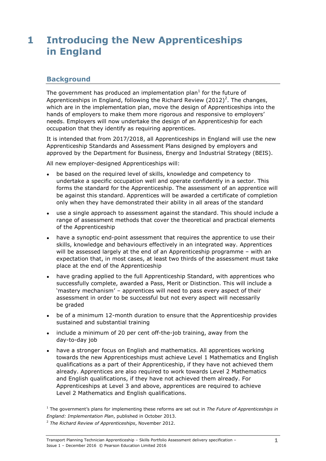# <span id="page-4-0"></span>**1 Introducing the New Apprenticeships in England**

#### <span id="page-4-1"></span>**Background**

The government has produced an implementation plan $1$  for the future of Apprenticeships in England, following the Richard Review (2012)<sup>2</sup>. The changes, which are in the implementation plan, move the design of Apprenticeships into the hands of employers to make them more rigorous and responsive to employers' needs. Employers will now undertake the design of an Apprenticeship for each occupation that they identify as requiring apprentices.

It is intended that from 2017/2018, all Apprenticeships in England will use the new Apprenticeship Standards and Assessment Plans designed by employers and approved by the Department for Business, Energy and Industrial Strategy (BEIS).

All new employer-designed Apprenticeships will:

- be based on the required level of skills, knowledge and competency to undertake a specific occupation well and operate confidently in a sector. This forms the standard for the Apprenticeship. The assessment of an apprentice will be against this standard. Apprentices will be awarded a certificate of completion only when they have demonstrated their ability in all areas of the standard
- use a single approach to assessment against the standard. This should include a range of assessment methods that cover the theoretical and practical elements of the Apprenticeship
- have a synoptic end-point assessment that requires the apprentice to use their skills, knowledge and behaviours effectively in an integrated way. Apprentices will be assessed largely at the end of an Apprenticeship programme – with an expectation that, in most cases, at least two thirds of the assessment must take place at the end of the Apprenticeship
- have grading applied to the full Apprenticeship Standard, with apprentices who successfully complete, awarded a Pass, Merit or Distinction. This will include a 'mastery mechanism' – apprentices will need to pass every aspect of their assessment in order to be successful but not every aspect will necessarily be graded
- be of a minimum 12-month duration to ensure that the Apprenticeship provides sustained and substantial training
- include a minimum of 20 per cent off-the-job training, away from the day-to-day job
- have a stronger focus on English and mathematics. All apprentices working towards the new Apprenticeships must achieve Level 1 Mathematics and English qualifications as a part of their Apprenticeship, if they have not achieved them already. Apprentices are also required to work towards Level 2 Mathematics and English qualifications, if they have not achieved them already. For Apprenticeships at Level 3 and above, apprentices are required to achieve Level 2 Mathematics and English qualifications.

<sup>1</sup> The government's plans for implementing these reforms are set out in *The Future of Apprenticeships in England: Implementation Plan*, published in October 2013.

<sup>2</sup> *The Richard Review of Apprenticeships*, November 2012.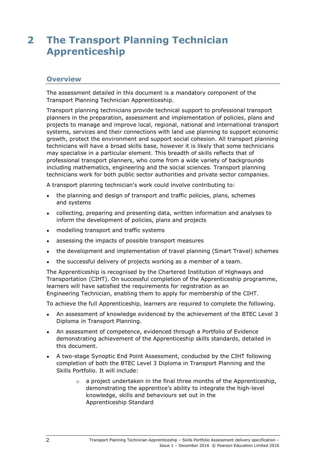# <span id="page-5-0"></span>**2 The Transport Planning Technician Apprenticeship**

#### <span id="page-5-1"></span>**Overview**

The assessment detailed in this document is a mandatory component of the Transport Planning Technician Apprenticeship.

Transport planning technicians provide technical support to professional transport planners in the preparation, assessment and implementation of policies, plans and projects to manage and improve local, regional, national and international transport systems, services and their connections with land use planning to support economic growth, protect the environment and support social cohesion. All transport planning technicians will have a broad skills base, however it is likely that some technicians may specialise in a particular element. This breadth of skills reflects that of professional transport planners, who come from a wide variety of backgrounds including mathematics, engineering and the social sciences. Transport planning technicians work for both public sector authorities and private sector companies.

A transport planning technician's work could involve contributing to:

- the planning and design of transport and traffic policies, plans, schemes and systems
- collecting, preparing and presenting data, written information and analyses to inform the development of policies, plans and projects
- modelling transport and traffic systems
- assessing the impacts of possible transport measures
- the development and implementation of travel planning (Smart Travel) schemes
- the successful delivery of projects working as a member of a team.

The Apprenticeship is recognised by the Chartered Institution of Highways and Transportation (CIHT). On successful completion of the Apprenticeship programme, learners will have satisfied the requirements for registration as an Engineering Technician, enabling them to apply for membership of the CIHT.

To achieve the full Apprenticeship, learners are required to complete the following.

- An assessment of knowledge evidenced by the achievement of the BTEC Level 3 Diploma in Transport Planning.
- An assessment of competence, evidenced through a Portfolio of Evidence demonstrating achievement of the Apprenticeship skills standards, detailed in this document.
- A two-stage Synoptic End Point Assessment, conducted by the CIHT following completion of both the BTEC Level 3 Diploma in Transport Planning and the Skills Portfolio. It will include:
	- $\circ$  a project undertaken in the final three months of the Apprenticeship, demonstrating the apprentice's ability to integrate the high-level knowledge, skills and behaviours set out in the Apprenticeship Standard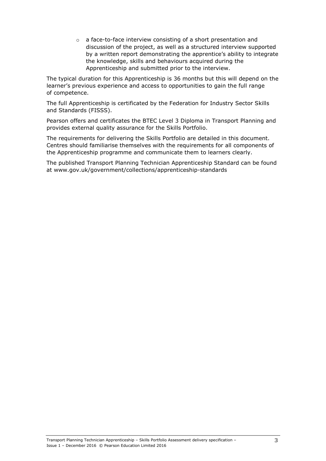o a face-to-face interview consisting of a short presentation and discussion of the project, as well as a structured interview supported by a written report demonstrating the apprentice's ability to integrate the knowledge, skills and behaviours acquired during the Apprenticeship and submitted prior to the interview.

The typical duration for this Apprenticeship is 36 months but this will depend on the learner's previous experience and access to opportunities to gain the full range of competence.

The full Apprenticeship is certificated by the Federation for Industry Sector Skills and Standards (FISSS).

Pearson offers and certificates the BTEC Level 3 Diploma in Transport Planning and provides external quality assurance for the Skills Portfolio.

The requirements for delivering the Skills Portfolio are detailed in this document. Centres should familiarise themselves with the requirements for all components of the Apprenticeship programme and communicate them to learners clearly.

The published Transport Planning Technician Apprenticeship Standard can be found at www.gov.uk/government/collections/apprenticeship-standards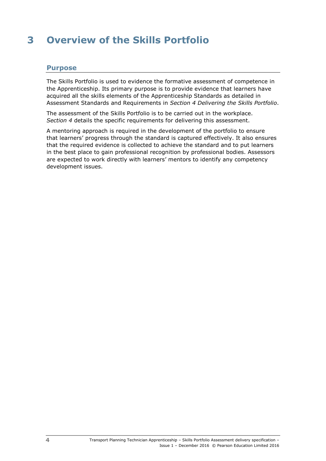# <span id="page-7-0"></span>**3 Overview of the Skills Portfolio**

### <span id="page-7-1"></span>**Purpose**

The Skills Portfolio is used to evidence the formative assessment of competence in the Apprenticeship. Its primary purpose is to provide evidence that learners have acquired all the skills elements of the Apprenticeship Standards as detailed in Assessment Standards and Requirements in *Section 4 Delivering the Skills Portfolio*.

The assessment of the Skills Portfolio is to be carried out in the workplace. *Section 4* details the specific requirements for delivering this assessment.

A mentoring approach is required in the development of the portfolio to ensure that learners' progress through the standard is captured effectively. It also ensures that the required evidence is collected to achieve the standard and to put learners in the best place to gain professional recognition by professional bodies. Assessors are expected to work directly with learners' mentors to identify any competency development issues.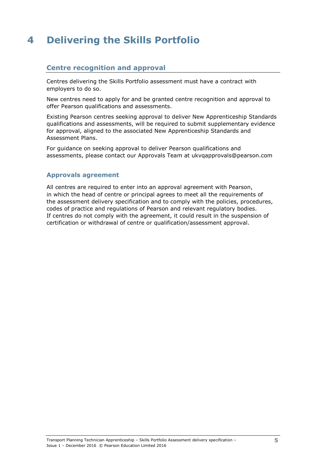# <span id="page-8-0"></span>**4 Delivering the Skills Portfolio**

### <span id="page-8-1"></span>**Centre recognition and approval**

Centres delivering the Skills Portfolio assessment must have a contract with employers to do so.

New centres need to apply for and be granted centre recognition and approval to offer Pearson qualifications and assessments.

Existing Pearson centres seeking approval to deliver New Apprenticeship Standards qualifications and assessments, will be required to submit supplementary evidence for approval, aligned to the associated New Apprenticeship Standards and Assessment Plans.

For guidance on seeking approval to deliver Pearson qualifications and assessments, please contact our Approvals Team at ukvqapprovals@pearson.com

#### **Approvals agreement**

All centres are required to enter into an approval agreement with Pearson, in which the head of centre or principal agrees to meet all the requirements of the assessment delivery specification and to comply with the policies, procedures, codes of practice and regulations of Pearson and relevant regulatory bodies. If centres do not comply with the agreement, it could result in the suspension of certification or withdrawal of centre or qualification/assessment approval.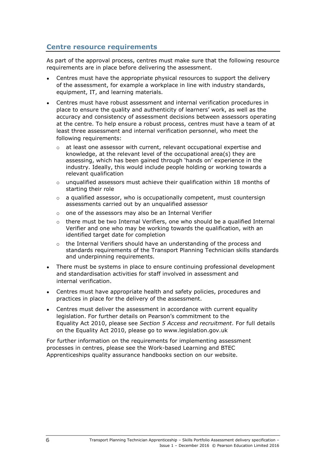### <span id="page-9-0"></span>**Centre resource requirements**

As part of the approval process, centres must make sure that the following resource requirements are in place before delivering the assessment.

- Centres must have the appropriate physical resources to support the delivery of the assessment, for example a workplace in line with industry standards, equipment, IT, and learning materials.
- Centres must have robust assessment and internal verification procedures in place to ensure the quality and authenticity of learners' work, as well as the accuracy and consistency of assessment decisions between assessors operating at the centre. To help ensure a robust process, centres must have a team of at least three assessment and internal verification personnel, who meet the following requirements:
	- o at least one assessor with current, relevant occupational expertise and knowledge, at the relevant level of the occupational area(s) they are assessing, which has been gained through 'hands on' experience in the industry. Ideally, this would include people holding or working towards a relevant qualification
	- o unqualified assessors must achieve their qualification within 18 months of starting their role
	- $\circ$  a qualified assessor, who is occupationally competent, must countersign assessments carried out by an unqualified assessor
	- o one of the assessors may also be an Internal Verifier
	- $\circ$  there must be two Internal Verifiers, one who should be a qualified Internal Verifier and one who may be working towards the qualification, with an identified target date for completion
	- o the Internal Verifiers should have an understanding of the process and standards requirements of the Transport Planning Technician skills standards and underpinning requirements.
- There must be systems in place to ensure continuing professional development and standardisation activities for staff involved in assessment and internal verification.
- Centres must have appropriate health and safety policies, procedures and practices in place for the delivery of the assessment.
- Centres must deliver the assessment in accordance with current equality legislation. For further details on Pearson's commitment to the Equality Act 2010, please see *Section 5 Access and recruitment*. For full details on the Equality Act 2010, please go to www.legislation.gov.uk

For further information on the requirements for implementing assessment processes in centres, please see the Work-based Learning and BTEC Apprenticeships quality assurance handbooks section on our website.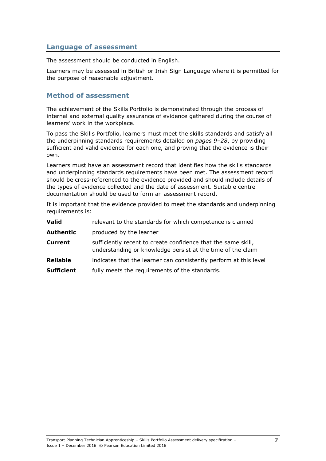### <span id="page-10-0"></span>**Language of assessment**

The assessment should be conducted in English.

Learners may be assessed in British or Irish Sign Language where it is permitted for the purpose of reasonable adjustment.

### <span id="page-10-1"></span>**Method of assessment**

The achievement of the Skills Portfolio is demonstrated through the process of internal and external quality assurance of evidence gathered during the course of learners' work in the workplace.

To pass the Skills Portfolio, learners must meet the skills standards and satisfy all the underpinning standards requirements detailed on *pages 9[–28](#page-31-0)*, by providing sufficient and valid evidence for each one, and proving that the evidence is their own.

Learners must have an assessment record that identifies how the skills standards and underpinning standards requirements have been met. The assessment record should be cross-referenced to the evidence provided and should include details of the types of evidence collected and the date of assessment. Suitable centre documentation should be used to form an assessment record.

It is important that the evidence provided to meet the standards and underpinning requirements is:

| Valid             | relevant to the standards for which competence is claimed                                                                    |
|-------------------|------------------------------------------------------------------------------------------------------------------------------|
| Authentic         | produced by the learner                                                                                                      |
| Current           | sufficiently recent to create confidence that the same skill,<br>understanding or knowledge persist at the time of the claim |
| <b>Reliable</b>   | indicates that the learner can consistently perform at this level                                                            |
| <b>Sufficient</b> | fully meets the requirements of the standards.                                                                               |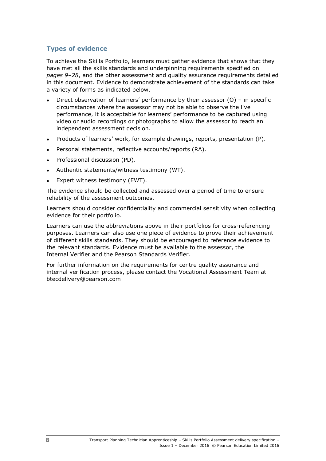### **Types of evidence**

To achieve the Skills Portfolio, learners must gather evidence that shows that they have met all the skills standards and underpinning requirements specified on *pages 9[–28](#page-31-0)*, and the other assessment and quality assurance requirements detailed in this document. Evidence to demonstrate achievement of the standards can take a variety of forms as indicated below.

- Direct observation of learners' performance by their assessor (O) in specific circumstances where the assessor may not be able to observe the live performance, it is acceptable for learners' performance to be captured using video or audio recordings or photographs to allow the assessor to reach an independent assessment decision.
- Products of learners' work, for example drawings, reports, presentation (P).
- Personal statements, reflective accounts/reports (RA).
- Professional discussion (PD).
- Authentic statements/witness testimony (WT).
- Expert witness testimony (EWT).

The evidence should be collected and assessed over a period of time to ensure reliability of the assessment outcomes.

Learners should consider confidentiality and commercial sensitivity when collecting evidence for their portfolio.

Learners can use the abbreviations above in their portfolios for cross-referencing purposes. Learners can also use one piece of evidence to prove their achievement of different skills standards. They should be encouraged to reference evidence to the relevant standards. Evidence must be available to the assessor, the Internal Verifier and the Pearson Standards Verifier.

For further information on the requirements for centre quality assurance and internal verification process, please contact the Vocational Assessment Team at btecdelivery@pearson.com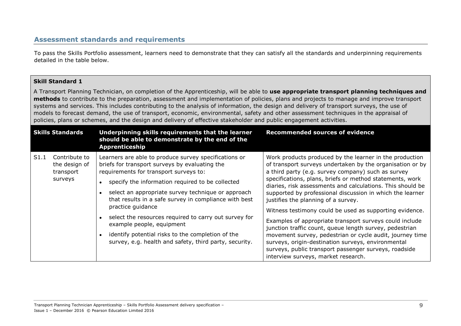## **Assessment standards and requirements**

To pass the Skills Portfolio assessment, learners need to demonstrate that they can satisfy all the standards and underpinning requirements detailed in the table below.

#### **Skill Standard 1**

A Transport Planning Technician, on completion of the Apprenticeship, will be able to **use appropriate transport planning techniques and methods** to contribute to the preparation, assessment and implementation of policies, plans and projects to manage and improve transport systems and services. This includes contributing to the analysis of information, the design and delivery of transport surveys, the use of models to forecast demand, the use of transport, economic, environmental, safety and other assessment techniques in the appraisal of policies, plans or schemes, and the design and delivery of effective stakeholder and public engagement activities.

<span id="page-12-0"></span>

| <b>Skills Standards</b> |                                                        | Underpinning skills requirements that the learner<br>should be able to demonstrate by the end of the<br><b>Apprenticeship</b>                                                                                                                                                                                                                                                                                                                                                                                                                  | <b>Recommended sources of evidence</b>                                                                                                                                                                                                                                                                                                                                                                                                                                                                                                                                                                                                                                                                                                                                                                      |
|-------------------------|--------------------------------------------------------|------------------------------------------------------------------------------------------------------------------------------------------------------------------------------------------------------------------------------------------------------------------------------------------------------------------------------------------------------------------------------------------------------------------------------------------------------------------------------------------------------------------------------------------------|-------------------------------------------------------------------------------------------------------------------------------------------------------------------------------------------------------------------------------------------------------------------------------------------------------------------------------------------------------------------------------------------------------------------------------------------------------------------------------------------------------------------------------------------------------------------------------------------------------------------------------------------------------------------------------------------------------------------------------------------------------------------------------------------------------------|
| S1.1                    | Contribute to<br>the design of<br>transport<br>surveys | Learners are able to produce survey specifications or<br>briefs for transport surveys by evaluating the<br>requirements for transport surveys to:<br>specify the information required to be collected<br>select an appropriate survey technique or approach<br>that results in a safe survey in compliance with best<br>practice guidance<br>select the resources required to carry out survey for<br>example people, equipment<br>identify potential risks to the completion of the<br>survey, e.g. health and safety, third party, security. | Work products produced by the learner in the production<br>of transport surveys undertaken by the organisation or by<br>a third party (e.g. survey company) such as survey<br>specifications, plans, briefs or method statements, work<br>diaries, risk assessments and calculations. This should be<br>supported by professional discussion in which the learner<br>justifies the planning of a survey.<br>Witness testimony could be used as supporting evidence.<br>Examples of appropriate transport surveys could include<br>junction traffic count, queue length survey, pedestrian<br>movement survey, pedestrian or cycle audit, journey time<br>surveys, origin-destination surveys, environmental<br>surveys, public transport passenger surveys, roadside<br>interview surveys, market research. |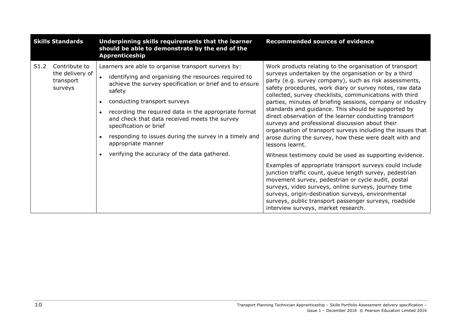| <b>Skills Standards</b>                                          | Underpinning skills requirements that the learner<br>should be able to demonstrate by the end of the<br>Apprenticeship                                                                                                                                                                                                                                                                                                               | <b>Recommended sources of evidence</b>                                                                                                                                                                                                                                                                                                                                                                                                                                                                                                                                                                                                                                        |
|------------------------------------------------------------------|--------------------------------------------------------------------------------------------------------------------------------------------------------------------------------------------------------------------------------------------------------------------------------------------------------------------------------------------------------------------------------------------------------------------------------------|-------------------------------------------------------------------------------------------------------------------------------------------------------------------------------------------------------------------------------------------------------------------------------------------------------------------------------------------------------------------------------------------------------------------------------------------------------------------------------------------------------------------------------------------------------------------------------------------------------------------------------------------------------------------------------|
| Contribute to<br>S1.2<br>the delivery of<br>transport<br>surveys | Learners are able to organise transport surveys by:<br>identifying and organising the resources required to<br>achieve the survey specification or brief and to ensure<br>safety<br>conducting transport surveys<br>recording the required data in the appropriate format<br>and check that data received meets the survey<br>specification or brief<br>responding to issues during the survey in a timely and<br>appropriate manner | Work products relating to the organisation of transport<br>surveys undertaken by the organisation or by a third<br>party (e.g. survey company), such as risk assessments,<br>safety procedures, work diary or survey notes, raw data<br>collected, survey checklists, communications with third<br>parties, minutes of briefing sessions, company or industry<br>standards and guidance. This should be supported by<br>direct observation of the learner conducting transport<br>surveys and professional discussion about their<br>organisation of transport surveys including the issues that<br>arose during the survey, how these were dealt with and<br>lessons learnt. |
|                                                                  | verifying the accuracy of the data gathered.                                                                                                                                                                                                                                                                                                                                                                                         | Witness testimony could be used as supporting evidence.<br>Examples of appropriate transport surveys could include<br>junction traffic count, queue length survey, pedestrian<br>movement survey, pedestrian or cycle audit, postal<br>surveys, video surveys, online surveys, journey time<br>surveys, origin-destination surveys, environmental<br>surveys, public transport passenger surveys, roadside<br>interview surveys, market research.                                                                                                                                                                                                                             |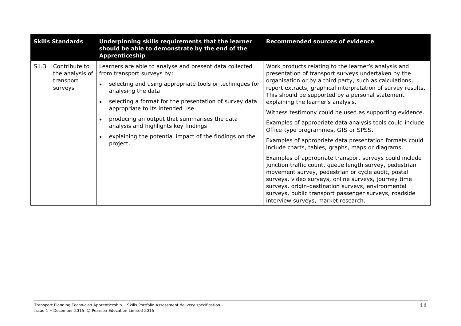| <b>Skills Standards</b> |                                                          | Underpinning skills requirements that the learner<br>should be able to demonstrate by the end of the<br>Apprenticeship                                                                                                                                                                                                                                                                                                            | <b>Recommended sources of evidence</b>                                                                                                                                                                                                                                                                                                                                                                                                                                                                                                                                                                                                                                                                                                                                                                                                                                                                                                                                                                     |
|-------------------------|----------------------------------------------------------|-----------------------------------------------------------------------------------------------------------------------------------------------------------------------------------------------------------------------------------------------------------------------------------------------------------------------------------------------------------------------------------------------------------------------------------|------------------------------------------------------------------------------------------------------------------------------------------------------------------------------------------------------------------------------------------------------------------------------------------------------------------------------------------------------------------------------------------------------------------------------------------------------------------------------------------------------------------------------------------------------------------------------------------------------------------------------------------------------------------------------------------------------------------------------------------------------------------------------------------------------------------------------------------------------------------------------------------------------------------------------------------------------------------------------------------------------------|
| S1.3                    | Contribute to<br>the analysis of<br>transport<br>surveys | Learners are able to analyse and present data collected<br>from transport surveys by:<br>selecting and using appropriate tools or techniques for<br>analysing the data<br>selecting a format for the presentation of survey data<br>appropriate to its intended use<br>producing an output that summarises the data<br>analysis and highlights key findings<br>explaining the potential impact of the findings on the<br>project. | Work products relating to the learner's analysis and<br>presentation of transport surveys undertaken by the<br>organisation or by a third party, such as calculations,<br>report extracts, graphical interpretation of survey results.<br>This should be supported by a personal statement<br>explaining the learner's analysis.<br>Witness testimony could be used as supporting evidence.<br>Examples of appropriate data analysis tools could include<br>Office-type programmes, GIS or SPSS.<br>Examples of appropriate data presentation formats could<br>include charts, tables, graphs, maps or diagrams.<br>Examples of appropriate transport surveys could include<br>junction traffic count, queue length survey, pedestrian<br>movement survey, pedestrian or cycle audit, postal<br>surveys, video surveys, online surveys, journey time<br>surveys, origin-destination surveys, environmental<br>surveys, public transport passenger surveys, roadside<br>interview surveys, market research. |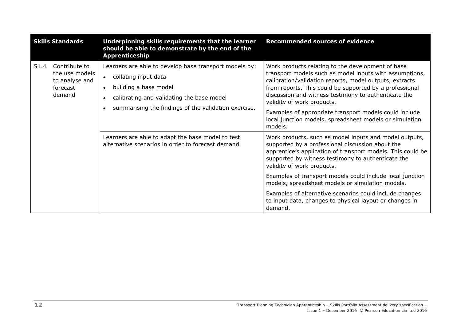|      | <b>Skills Standards</b>                                                 | Underpinning skills requirements that the learner<br>should be able to demonstrate by the end of the<br>Apprenticeship                                                                                                                 | <b>Recommended sources of evidence</b>                                                                                                                                                                                                                                                                                                                                                                                                                   |
|------|-------------------------------------------------------------------------|----------------------------------------------------------------------------------------------------------------------------------------------------------------------------------------------------------------------------------------|----------------------------------------------------------------------------------------------------------------------------------------------------------------------------------------------------------------------------------------------------------------------------------------------------------------------------------------------------------------------------------------------------------------------------------------------------------|
| S1.4 | Contribute to<br>the use models<br>to analyse and<br>forecast<br>demand | Learners are able to develop base transport models by:<br>collating input data<br>$\bullet$<br>building a base model<br>$\bullet$<br>calibrating and validating the base model<br>summarising the findings of the validation exercise. | Work products relating to the development of base<br>transport models such as model inputs with assumptions,<br>calibration/validation reports, model outputs, extracts<br>from reports. This could be supported by a professional<br>discussion and witness testimony to authenticate the<br>validity of work products.<br>Examples of appropriate transport models could include<br>local junction models, spreadsheet models or simulation<br>models. |
|      |                                                                         | Learners are able to adapt the base model to test<br>alternative scenarios in order to forecast demand.                                                                                                                                | Work products, such as model inputs and model outputs,<br>supported by a professional discussion about the<br>apprentice's application of transport models. This could be<br>supported by witness testimony to authenticate the<br>validity of work products.                                                                                                                                                                                            |
|      |                                                                         |                                                                                                                                                                                                                                        | Examples of transport models could include local junction<br>models, spreadsheet models or simulation models.                                                                                                                                                                                                                                                                                                                                            |
|      |                                                                         |                                                                                                                                                                                                                                        | Examples of alternative scenarios could include changes<br>to input data, changes to physical layout or changes in<br>demand.                                                                                                                                                                                                                                                                                                                            |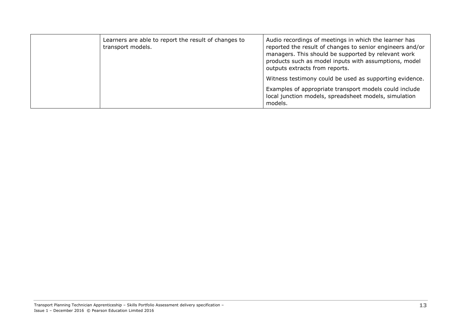| Learners are able to report the result of changes to<br>transport models. | Audio recordings of meetings in which the learner has<br>reported the result of changes to senior engineers and/or<br>managers. This should be supported by relevant work<br>products such as model inputs with assumptions, model<br>outputs extracts from reports. |
|---------------------------------------------------------------------------|----------------------------------------------------------------------------------------------------------------------------------------------------------------------------------------------------------------------------------------------------------------------|
|                                                                           | Witness testimony could be used as supporting evidence.                                                                                                                                                                                                              |
|                                                                           | Examples of appropriate transport models could include<br>local junction models, spreadsheet models, simulation<br>models.                                                                                                                                           |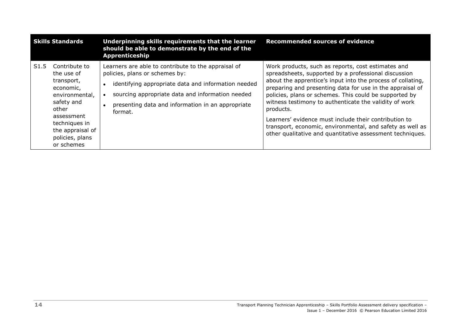| <b>Skills Standards</b> |                                                                                                                                                                                     | Underpinning skills requirements that the learner<br>should be able to demonstrate by the end of the<br><b>Apprenticeship</b>                                                                                                                                    | <b>Recommended sources of evidence</b>                                                                                                                                                                                                                                                                                                                                                                                                                                                                                                                     |
|-------------------------|-------------------------------------------------------------------------------------------------------------------------------------------------------------------------------------|------------------------------------------------------------------------------------------------------------------------------------------------------------------------------------------------------------------------------------------------------------------|------------------------------------------------------------------------------------------------------------------------------------------------------------------------------------------------------------------------------------------------------------------------------------------------------------------------------------------------------------------------------------------------------------------------------------------------------------------------------------------------------------------------------------------------------------|
| S <sub>1.5</sub>        | Contribute to<br>the use of<br>transport,<br>economic,<br>environmental,<br>safety and<br>other<br>assessment<br>techniques in<br>the appraisal of<br>policies, plans<br>or schemes | Learners are able to contribute to the appraisal of<br>policies, plans or schemes by:<br>identifying appropriate data and information needed<br>sourcing appropriate data and information needed<br>presenting data and information in an appropriate<br>format. | Work products, such as reports, cost estimates and<br>spreadsheets, supported by a professional discussion<br>about the apprentice's input into the process of collating,<br>preparing and presenting data for use in the appraisal of<br>policies, plans or schemes. This could be supported by<br>witness testimony to authenticate the validity of work<br>products.<br>Learners' evidence must include their contribution to<br>transport, economic, environmental, and safety as well as<br>other qualitative and quantitative assessment techniques. |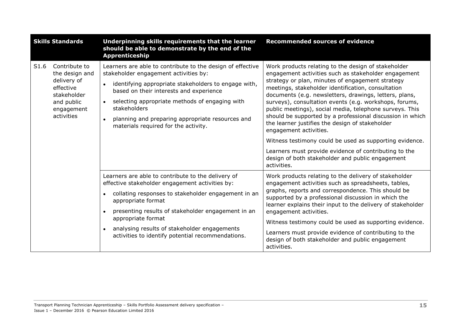| <b>Skills Standards</b> |                                                                                                                      | Underpinning skills requirements that the learner<br>should be able to demonstrate by the end of the<br>Apprenticeship                                                                                                                                                                                                                                                           | <b>Recommended sources of evidence</b>                                                                                                                                                                                                                                                                                                                                                                                                                                                                                                                                                                                                                                                                                                |
|-------------------------|----------------------------------------------------------------------------------------------------------------------|----------------------------------------------------------------------------------------------------------------------------------------------------------------------------------------------------------------------------------------------------------------------------------------------------------------------------------------------------------------------------------|---------------------------------------------------------------------------------------------------------------------------------------------------------------------------------------------------------------------------------------------------------------------------------------------------------------------------------------------------------------------------------------------------------------------------------------------------------------------------------------------------------------------------------------------------------------------------------------------------------------------------------------------------------------------------------------------------------------------------------------|
| S1.6                    | Contribute to<br>the design and<br>delivery of<br>effective<br>stakeholder<br>and public<br>engagement<br>activities | Learners are able to contribute to the design of effective<br>stakeholder engagement activities by:<br>identifying appropriate stakeholders to engage with,<br>based on their interests and experience<br>selecting appropriate methods of engaging with<br>stakeholders<br>planning and preparing appropriate resources and<br>materials required for the activity.             | Work products relating to the design of stakeholder<br>engagement activities such as stakeholder engagement<br>strategy or plan, minutes of engagement strategy<br>meetings, stakeholder identification, consultation<br>documents (e.g. newsletters, drawings, letters, plans,<br>surveys), consultation events (e.g. workshops, forums,<br>public meetings), social media, telephone surveys. This<br>should be supported by a professional discussion in which<br>the learner justifies the design of stakeholder<br>engagement activities.<br>Witness testimony could be used as supporting evidence.<br>Learners must provide evidence of contributing to the<br>design of both stakeholder and public engagement<br>activities. |
|                         |                                                                                                                      | Learners are able to contribute to the delivery of<br>effective stakeholder engagement activities by:<br>collating responses to stakeholder engagement in an<br>$\bullet$<br>appropriate format<br>presenting results of stakeholder engagement in an<br>appropriate format<br>analysing results of stakeholder engagements<br>activities to identify potential recommendations. | Work products relating to the delivery of stakeholder<br>engagement activities such as spreadsheets, tables,<br>graphs, reports and correspondence. This should be<br>supported by a professional discussion in which the<br>learner explains their input to the delivery of stakeholder<br>engagement activities.<br>Witness testimony could be used as supporting evidence.<br>Learners must provide evidence of contributing to the<br>design of both stakeholder and public engagement<br>activities.                                                                                                                                                                                                                             |

Transport Planning Technician Apprenticeship – Skills Portfolio Assessment delivery specification – Issue 1 – December 2016 © Pearson Education Limited 2016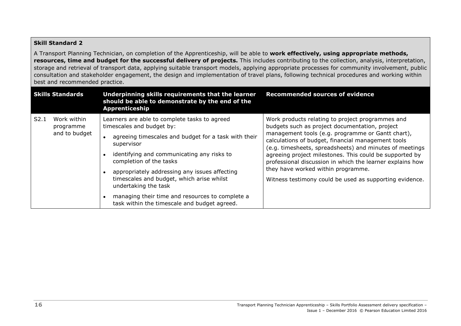#### **Skill Standard 2**

A Transport Planning Technician, on completion of the Apprenticeship, will be able to **work effectively, using appropriate methods, resources, time and budget for the successful delivery of projects.** This includes contributing to the collection, analysis, interpretation, storage and retrieval of transport data, applying suitable transport models, applying appropriate processes for community involvement, public consultation and stakeholder engagement, the design and implementation of travel plans, following technical procedures and working within best and recommended practice.

| <b>Skills Standards</b>                           | Underpinning skills requirements that the learner<br>should be able to demonstrate by the end of the<br><b>Apprenticeship</b>                                                                                                                                                                                                                                                                                                                      | <b>Recommended sources of evidence</b>                                                                                                                                                                                                                                                                                                                                                                                                                                                            |
|---------------------------------------------------|----------------------------------------------------------------------------------------------------------------------------------------------------------------------------------------------------------------------------------------------------------------------------------------------------------------------------------------------------------------------------------------------------------------------------------------------------|---------------------------------------------------------------------------------------------------------------------------------------------------------------------------------------------------------------------------------------------------------------------------------------------------------------------------------------------------------------------------------------------------------------------------------------------------------------------------------------------------|
| Work within<br>S2.1<br>programme<br>and to budget | Learners are able to complete tasks to agreed<br>timescales and budget by:<br>agreeing timescales and budget for a task with their<br>supervisor<br>identifying and communicating any risks to<br>completion of the tasks<br>appropriately addressing any issues affecting<br>timescales and budget, which arise whilst<br>undertaking the task<br>managing their time and resources to complete a<br>task within the timescale and budget agreed. | Work products relating to project programmes and<br>budgets such as project documentation, project<br>management tools (e.g. programme or Gantt chart),<br>calculations of budget, financial management tools<br>(e.g. timesheets, spreadsheets) and minutes of meetings<br>agreeing project milestones. This could be supported by<br>professional discussion in which the learner explains how<br>they have worked within programme.<br>Witness testimony could be used as supporting evidence. |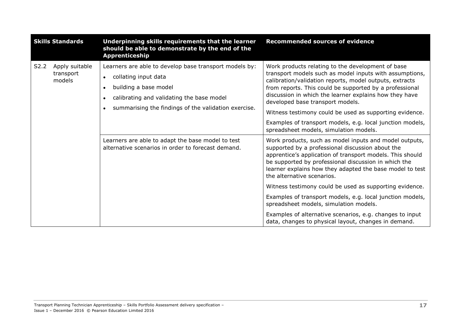| <b>Skills Standards</b> |                                       | Underpinning skills requirements that the learner<br>should be able to demonstrate by the end of the<br>Apprenticeship                                                                                                    | <b>Recommended sources of evidence</b>                                                                                                                                                                                                                                                                                                                                                                                                                   |
|-------------------------|---------------------------------------|---------------------------------------------------------------------------------------------------------------------------------------------------------------------------------------------------------------------------|----------------------------------------------------------------------------------------------------------------------------------------------------------------------------------------------------------------------------------------------------------------------------------------------------------------------------------------------------------------------------------------------------------------------------------------------------------|
| S2.2                    | Apply suitable<br>transport<br>models | Learners are able to develop base transport models by:<br>collating input data<br>$\bullet$<br>building a base model<br>calibrating and validating the base model<br>summarising the findings of the validation exercise. | Work products relating to the development of base<br>transport models such as model inputs with assumptions,<br>calibration/validation reports, model outputs, extracts<br>from reports. This could be supported by a professional<br>discussion in which the learner explains how they have<br>developed base transport models.<br>Witness testimony could be used as supporting evidence.<br>Examples of transport models, e.g. local junction models, |
|                         |                                       | Learners are able to adapt the base model to test<br>alternative scenarios in order to forecast demand.                                                                                                                   | spreadsheet models, simulation models.<br>Work products, such as model inputs and model outputs,<br>supported by a professional discussion about the<br>apprentice's application of transport models. This should<br>be supported by professional discussion in which the<br>learner explains how they adapted the base model to test<br>the alternative scenarios.                                                                                      |
|                         |                                       |                                                                                                                                                                                                                           | Witness testimony could be used as supporting evidence.<br>Examples of transport models, e.g. local junction models,<br>spreadsheet models, simulation models.<br>Examples of alternative scenarios, e.g. changes to input<br>data, changes to physical layout, changes in demand.                                                                                                                                                                       |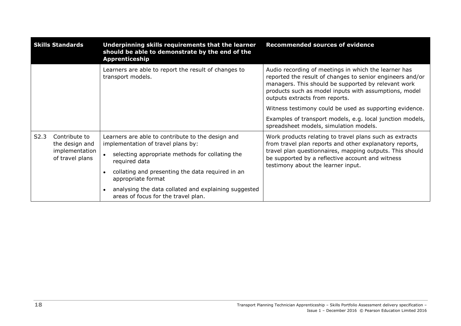|                  | <b>Skills Standards</b>                                              | Underpinning skills requirements that the learner<br>should be able to demonstrate by the end of the<br>Apprenticeship | <b>Recommended sources of evidence</b>                                                                                                                                                                                                                              |
|------------------|----------------------------------------------------------------------|------------------------------------------------------------------------------------------------------------------------|---------------------------------------------------------------------------------------------------------------------------------------------------------------------------------------------------------------------------------------------------------------------|
|                  |                                                                      | Learners are able to report the result of changes to<br>transport models.                                              | Audio recording of meetings in which the learner has<br>reported the result of changes to senior engineers and/or<br>managers. This should be supported by relevant work<br>products such as model inputs with assumptions, model<br>outputs extracts from reports. |
|                  |                                                                      |                                                                                                                        | Witness testimony could be used as supporting evidence.                                                                                                                                                                                                             |
|                  |                                                                      |                                                                                                                        | Examples of transport models, e.g. local junction models,<br>spreadsheet models, simulation models.                                                                                                                                                                 |
| S <sub>2.3</sub> | Contribute to<br>the design and<br>implementation<br>of travel plans | Learners are able to contribute to the design and<br>implementation of travel plans by:                                | Work products relating to travel plans such as extracts<br>from travel plan reports and other explanatory reports,                                                                                                                                                  |
|                  |                                                                      | selecting appropriate methods for collating the<br>required data                                                       | travel plan questionnaires, mapping outputs. This should<br>be supported by a reflective account and witness<br>testimony about the learner input.                                                                                                                  |
|                  |                                                                      | collating and presenting the data required in an<br>appropriate format                                                 |                                                                                                                                                                                                                                                                     |
|                  |                                                                      | analysing the data collated and explaining suggested<br>areas of focus for the travel plan.                            |                                                                                                                                                                                                                                                                     |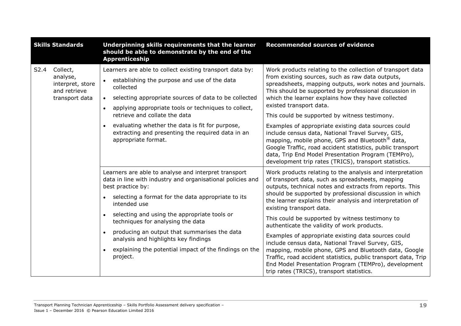| <b>Skills Standards</b> |                                                                            | Underpinning skills requirements that the learner<br>should be able to demonstrate by the end of the<br><b>Apprenticeship</b>                                                                                                                                                                                                                                                                                                                                                                | <b>Recommended sources of evidence</b>                                                                                                                                                                                                                                                                                                                                                                                                                                                                                                                                                                                                                                                                                                                                      |
|-------------------------|----------------------------------------------------------------------------|----------------------------------------------------------------------------------------------------------------------------------------------------------------------------------------------------------------------------------------------------------------------------------------------------------------------------------------------------------------------------------------------------------------------------------------------------------------------------------------------|-----------------------------------------------------------------------------------------------------------------------------------------------------------------------------------------------------------------------------------------------------------------------------------------------------------------------------------------------------------------------------------------------------------------------------------------------------------------------------------------------------------------------------------------------------------------------------------------------------------------------------------------------------------------------------------------------------------------------------------------------------------------------------|
| S2.4                    | Collect,<br>analyse,<br>interpret, store<br>and retrieve<br>transport data | Learners are able to collect existing transport data by:<br>establishing the purpose and use of the data<br>collected<br>selecting appropriate sources of data to be collected<br>applying appropriate tools or techniques to collect,<br>$\bullet$<br>retrieve and collate the data<br>evaluating whether the data is fit for purpose,<br>extracting and presenting the required data in an<br>appropriate format.                                                                          | Work products relating to the collection of transport data<br>from existing sources, such as raw data outputs,<br>spreadsheets, mapping outputs, work notes and journals.<br>This should be supported by professional discussion in<br>which the learner explains how they have collected<br>existed transport data.<br>This could be supported by witness testimony.<br>Examples of appropriate existing data sources could<br>include census data, National Travel Survey, GIS,<br>mapping, mobile phone, GPS and Bluetooth <sup>®</sup> data,<br>Google Traffic, road accident statistics, public transport<br>data, Trip End Model Presentation Program (TEMPro),<br>development trip rates (TRICS), transport statistics.                                              |
|                         |                                                                            | Learners are able to analyse and interpret transport<br>data in line with industry and organisational policies and<br>best practice by:<br>• selecting a format for the data appropriate to its<br>intended use<br>selecting and using the appropriate tools or<br>$\bullet$<br>techniques for analysing the data<br>producing an output that summarises the data<br>analysis and highlights key findings<br>explaining the potential impact of the findings on the<br>$\bullet$<br>project. | Work products relating to the analysis and interpretation<br>of transport data, such as spreadsheets, mapping<br>outputs, technical notes and extracts from reports. This<br>should be supported by professional discussion in which<br>the learner explains their analysis and interpretation of<br>existing transport data.<br>This could be supported by witness testimony to<br>authenticate the validity of work products.<br>Examples of appropriate existing data sources could<br>include census data, National Travel Survey, GIS,<br>mapping, mobile phone, GPS and Bluetooth data, Google<br>Traffic, road accident statistics, public transport data, Trip<br>End Model Presentation Program (TEMPro), development<br>trip rates (TRICS), transport statistics. |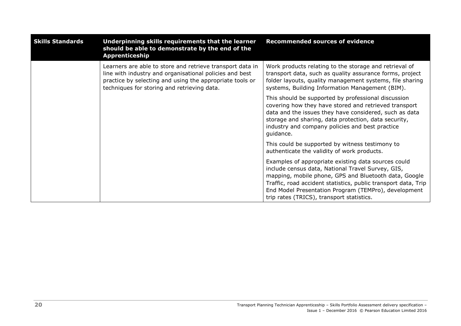| <b>Skills Standards</b> | Underpinning skills requirements that the learner<br>should be able to demonstrate by the end of the<br>Apprenticeship                                                                                                          | <b>Recommended sources of evidence</b>                                                                                                                                                                                                                                                                                                   |
|-------------------------|---------------------------------------------------------------------------------------------------------------------------------------------------------------------------------------------------------------------------------|------------------------------------------------------------------------------------------------------------------------------------------------------------------------------------------------------------------------------------------------------------------------------------------------------------------------------------------|
|                         | Learners are able to store and retrieve transport data in<br>line with industry and organisational policies and best<br>practice by selecting and using the appropriate tools or<br>techniques for storing and retrieving data. | Work products relating to the storage and retrieval of<br>transport data, such as quality assurance forms, project<br>folder layouts, quality management systems, file sharing<br>systems, Building Information Management (BIM).                                                                                                        |
|                         |                                                                                                                                                                                                                                 | This should be supported by professional discussion<br>covering how they have stored and retrieved transport<br>data and the issues they have considered, such as data<br>storage and sharing, data protection, data security,<br>industry and company policies and best practice<br>guidance.                                           |
|                         |                                                                                                                                                                                                                                 | This could be supported by witness testimony to<br>authenticate the validity of work products.                                                                                                                                                                                                                                           |
|                         |                                                                                                                                                                                                                                 | Examples of appropriate existing data sources could<br>include census data, National Travel Survey, GIS,<br>mapping, mobile phone, GPS and Bluetooth data, Google<br>Traffic, road accident statistics, public transport data, Trip<br>End Model Presentation Program (TEMPro), development<br>trip rates (TRICS), transport statistics. |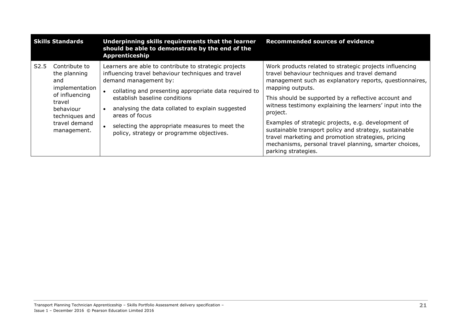| <b>Skills Standards</b> |                                                                                                                                                   | Underpinning skills requirements that the learner<br>should be able to demonstrate by the end of the<br><b>Apprenticeship</b>                                                                                                                                                                                                                                                                       | <b>Recommended sources of evidence</b>                                                                                                                                                                                                                                                                                                                                                                                                                                                                                                                                           |
|-------------------------|---------------------------------------------------------------------------------------------------------------------------------------------------|-----------------------------------------------------------------------------------------------------------------------------------------------------------------------------------------------------------------------------------------------------------------------------------------------------------------------------------------------------------------------------------------------------|----------------------------------------------------------------------------------------------------------------------------------------------------------------------------------------------------------------------------------------------------------------------------------------------------------------------------------------------------------------------------------------------------------------------------------------------------------------------------------------------------------------------------------------------------------------------------------|
| S <sub>2.5</sub>        | Contribute to<br>the planning<br>and<br>implementation<br>of influencing<br>travel<br>behaviour<br>techniques and<br>travel demand<br>management. | Learners are able to contribute to strategic projects<br>influencing travel behaviour techniques and travel<br>demand management by:<br>collating and presenting appropriate data required to<br>establish baseline conditions<br>analysing the data collated to explain suggested<br>areas of focus<br>selecting the appropriate measures to meet the<br>policy, strategy or programme objectives. | Work products related to strategic projects influencing<br>travel behaviour techniques and travel demand<br>management such as explanatory reports, questionnaires,<br>mapping outputs.<br>This should be supported by a reflective account and<br>witness testimony explaining the learners' input into the<br>project.<br>Examples of strategic projects, e.g. development of<br>sustainable transport policy and strategy, sustainable<br>travel marketing and promotion strategies, pricing<br>mechanisms, personal travel planning, smarter choices,<br>parking strategies. |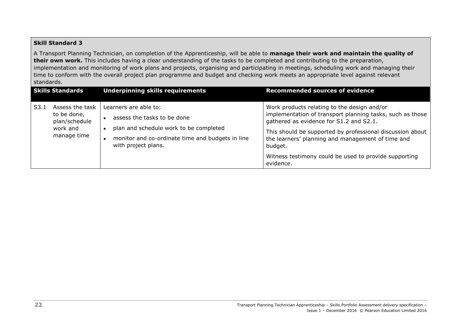#### **Skill Standard 3**

A Transport Planning Technician, on completion of the Apprenticeship, will be able to **manage their work and maintain the quality of their own work.** This includes having a clear understanding of the tasks to be completed and contributing to the preparation, implementation and monitoring of work plans and projects, organising and participating in meetings, scheduling work and managing their time to conform with the overall project plan programme and budget and checking work meets an appropriate level against relevant standards.

| <b>Skills Standards</b>                                                            | <b>Underpinning skills requirements</b>                                                                                                                                   | <b>Recommended sources of evidence</b>                                                                                                                                                                                                                                                                                                                 |
|------------------------------------------------------------------------------------|---------------------------------------------------------------------------------------------------------------------------------------------------------------------------|--------------------------------------------------------------------------------------------------------------------------------------------------------------------------------------------------------------------------------------------------------------------------------------------------------------------------------------------------------|
| Assess the task<br>S3.1<br>to be done,<br>plan/schedule<br>work and<br>manage time | Learners are able to:<br>assess the tasks to be done<br>plan and schedule work to be completed<br>monitor and co-ordinate time and budgets in line<br>with project plans. | Work products relating to the design and/or<br>implementation of transport planning tasks, such as those<br>gathered as evidence for S1.2 and S2.1.<br>This should be supported by professional discussion about<br>the learners' planning and management of time and<br>budget.<br>Witness testimony could be used to provide supporting<br>evidence. |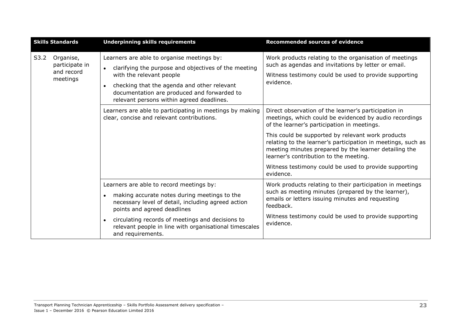| <b>Skills Standards</b> |                                                       | <b>Underpinning skills requirements</b>                                                                                                                                                                                                                                                                              | <b>Recommended sources of evidence</b>                                                                                                                                                                                                                                                                                                                                                                                                                      |
|-------------------------|-------------------------------------------------------|----------------------------------------------------------------------------------------------------------------------------------------------------------------------------------------------------------------------------------------------------------------------------------------------------------------------|-------------------------------------------------------------------------------------------------------------------------------------------------------------------------------------------------------------------------------------------------------------------------------------------------------------------------------------------------------------------------------------------------------------------------------------------------------------|
| S3.2                    | Organise,<br>participate in<br>and record<br>meetings | Learners are able to organise meetings by:<br>clarifying the purpose and objectives of the meeting<br>$\bullet$<br>with the relevant people<br>checking that the agenda and other relevant<br>$\bullet$<br>documentation are produced and forwarded to<br>relevant persons within agreed deadlines.                  | Work products relating to the organisation of meetings<br>such as agendas and invitations by letter or email.<br>Witness testimony could be used to provide supporting<br>evidence.                                                                                                                                                                                                                                                                         |
|                         |                                                       | Learners are able to participating in meetings by making<br>clear, concise and relevant contributions.                                                                                                                                                                                                               | Direct observation of the learner's participation in<br>meetings, which could be evidenced by audio recordings<br>of the learner's participation in meetings.<br>This could be supported by relevant work products<br>relating to the learner's participation in meetings, such as<br>meeting minutes prepared by the learner detailing the<br>learner's contribution to the meeting.<br>Witness testimony could be used to provide supporting<br>evidence. |
|                         |                                                       | Learners are able to record meetings by:<br>• making accurate notes during meetings to the<br>necessary level of detail, including agreed action<br>points and agreed deadlines<br>• circulating records of meetings and decisions to<br>relevant people in line with organisational timescales<br>and requirements. | Work products relating to their participation in meetings<br>such as meeting minutes (prepared by the learner),<br>emails or letters issuing minutes and requesting<br>feedback.<br>Witness testimony could be used to provide supporting<br>evidence.                                                                                                                                                                                                      |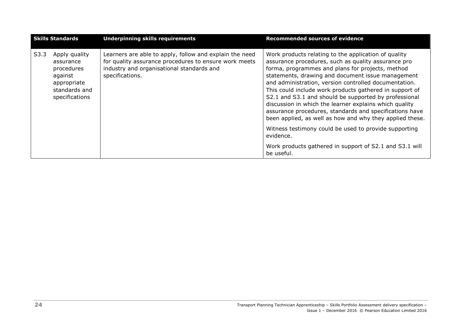| <b>Skills Standards</b> |                                                                                                       | <b>Underpinning skills requirements</b>                                                                                                                                          | <b>Recommended sources of evidence</b>                                                                                                                                                                                                                                                                                                                                                                                                                                                                                                                                             |
|-------------------------|-------------------------------------------------------------------------------------------------------|----------------------------------------------------------------------------------------------------------------------------------------------------------------------------------|------------------------------------------------------------------------------------------------------------------------------------------------------------------------------------------------------------------------------------------------------------------------------------------------------------------------------------------------------------------------------------------------------------------------------------------------------------------------------------------------------------------------------------------------------------------------------------|
| S3.3                    | Apply quality<br>assurance<br>procedures<br>against<br>appropriate<br>standards and<br>specifications | Learners are able to apply, follow and explain the need<br>for quality assurance procedures to ensure work meets<br>industry and organisational standards and<br>specifications. | Work products relating to the application of quality<br>assurance procedures, such as quality assurance pro<br>forma, programmes and plans for projects, method<br>statements, drawing and document issue management<br>and administration, version controlled documentation.<br>This could include work products gathered in support of<br>S2.1 and S3.1 and should be supported by professional<br>discussion in which the learner explains which quality<br>assurance procedures, standards and specifications have<br>been applied, as well as how and why they applied these. |
|                         |                                                                                                       |                                                                                                                                                                                  | Witness testimony could be used to provide supporting<br>evidence.                                                                                                                                                                                                                                                                                                                                                                                                                                                                                                                 |
|                         |                                                                                                       |                                                                                                                                                                                  | Work products gathered in support of S2.1 and S3.1 will<br>be useful.                                                                                                                                                                                                                                                                                                                                                                                                                                                                                                              |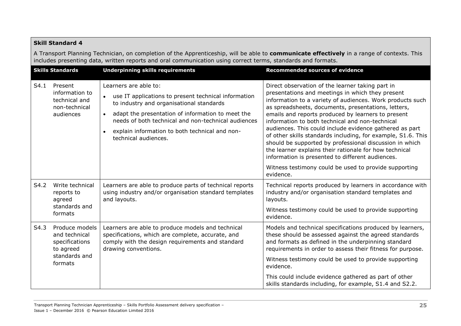|      | <b>Skill Standard 4</b>                                                                                                                                                                                                                                    |                                                                                                                                                                                                                                                                                                                              |                                                                                                                                                                                                                                                                                                                                                                                                                                                                                                                                                                                                                                                                                                             |  |  |
|------|------------------------------------------------------------------------------------------------------------------------------------------------------------------------------------------------------------------------------------------------------------|------------------------------------------------------------------------------------------------------------------------------------------------------------------------------------------------------------------------------------------------------------------------------------------------------------------------------|-------------------------------------------------------------------------------------------------------------------------------------------------------------------------------------------------------------------------------------------------------------------------------------------------------------------------------------------------------------------------------------------------------------------------------------------------------------------------------------------------------------------------------------------------------------------------------------------------------------------------------------------------------------------------------------------------------------|--|--|
|      | A Transport Planning Technician, on completion of the Apprenticeship, will be able to communicate effectively in a range of contexts. This<br>includes presenting data, written reports and oral communication using correct terms, standards and formats. |                                                                                                                                                                                                                                                                                                                              |                                                                                                                                                                                                                                                                                                                                                                                                                                                                                                                                                                                                                                                                                                             |  |  |
|      | <b>Skills Standards</b>                                                                                                                                                                                                                                    | <b>Underpinning skills requirements</b>                                                                                                                                                                                                                                                                                      | <b>Recommended sources of evidence</b>                                                                                                                                                                                                                                                                                                                                                                                                                                                                                                                                                                                                                                                                      |  |  |
| S4.1 | Present<br>information to<br>technical and<br>non-technical<br>audiences                                                                                                                                                                                   | Learners are able to:<br>use IT applications to present technical information<br>to industry and organisational standards<br>adapt the presentation of information to meet the<br>$\bullet$<br>needs of both technical and non-technical audiences<br>explain information to both technical and non-<br>technical audiences. | Direct observation of the learner taking part in<br>presentations and meetings in which they present<br>information to a variety of audiences. Work products such<br>as spreadsheets, documents, presentations, letters,<br>emails and reports produced by learners to present<br>information to both technical and non-technical<br>audiences. This could include evidence gathered as part<br>of other skills standards including, for example, S1.6. This<br>should be supported by professional discussion in which<br>the learner explains their rationale for how technical<br>information is presented to different audiences.<br>Witness testimony could be used to provide supporting<br>evidence. |  |  |
| S4.2 | Write technical<br>reports to<br>agreed<br>standards and<br>formats                                                                                                                                                                                        | Learners are able to produce parts of technical reports<br>using industry and/or organisation standard templates<br>and layouts.                                                                                                                                                                                             | Technical reports produced by learners in accordance with<br>industry and/or organisation standard templates and<br>layouts.<br>Witness testimony could be used to provide supporting<br>evidence.                                                                                                                                                                                                                                                                                                                                                                                                                                                                                                          |  |  |
| S4.3 | Produce models<br>and technical<br>specifications<br>to agreed<br>standards and<br>formats                                                                                                                                                                 | Learners are able to produce models and technical<br>specifications, which are complete, accurate, and<br>comply with the design requirements and standard<br>drawing conventions.                                                                                                                                           | Models and technical specifications produced by learners,<br>these should be assessed against the agreed standards<br>and formats as defined in the underpinning standard<br>requirements in order to assess their fitness for purpose.<br>Witness testimony could be used to provide supporting<br>evidence.<br>This could include evidence gathered as part of other<br>skills standards including, for example, S1.4 and S2.2.                                                                                                                                                                                                                                                                           |  |  |

#### Transport Planning Technician Apprenticeship – Skills Portfolio Assessment delivery specification – Issue 1 – December 2016 © Pearson Education Limited 2016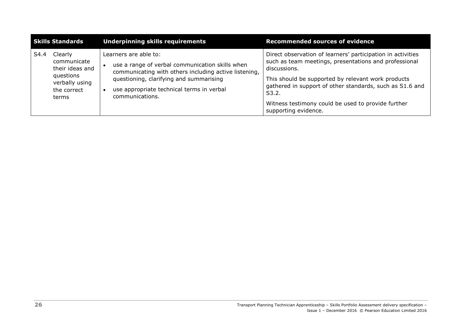| <b>Skills Standards</b> |                                                                                                  | <b>Underpinning skills requirements</b>                                                                                                                                                                                                      | <b>Recommended sources of evidence</b>                                                                                                                                                                                                                                                                                                        |
|-------------------------|--------------------------------------------------------------------------------------------------|----------------------------------------------------------------------------------------------------------------------------------------------------------------------------------------------------------------------------------------------|-----------------------------------------------------------------------------------------------------------------------------------------------------------------------------------------------------------------------------------------------------------------------------------------------------------------------------------------------|
| S4.4                    | Clearly<br>communicate<br>their ideas and<br>questions<br>verbally using<br>the correct<br>terms | Learners are able to:<br>use a range of verbal communication skills when<br>communicating with others including active listening,<br>questioning, clarifying and summarising<br>use appropriate technical terms in verbal<br>communications. | Direct observation of learners' participation in activities<br>such as team meetings, presentations and professional<br>discussions.<br>This should be supported by relevant work products<br>gathered in support of other standards, such as S1.6 and<br>S3.2.<br>Witness testimony could be used to provide further<br>supporting evidence. |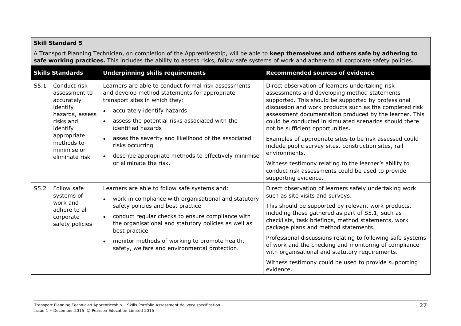#### **Skill Standard 5**

A Transport Planning Technician, on completion of the Apprenticeship, will be able to **keep themselves and others safe by adhering to**  safe working practices. This includes the ability to assess risks, follow safe systems of work and adhere to all corporate safety policies.

| <b>Skills Standards</b> |                                                                                                                                                                   | <b>Underpinning skills requirements</b>                                                                                                                                                                                                                                                                                                                                                                    | <b>Recommended sources of evidence</b>                                                                                                                                                                                                                                                                                                                                                                                                                                                                                                                                                                                                                |
|-------------------------|-------------------------------------------------------------------------------------------------------------------------------------------------------------------|------------------------------------------------------------------------------------------------------------------------------------------------------------------------------------------------------------------------------------------------------------------------------------------------------------------------------------------------------------------------------------------------------------|-------------------------------------------------------------------------------------------------------------------------------------------------------------------------------------------------------------------------------------------------------------------------------------------------------------------------------------------------------------------------------------------------------------------------------------------------------------------------------------------------------------------------------------------------------------------------------------------------------------------------------------------------------|
| S5.1                    | Conduct risk<br>assessment to<br>accurately<br>identify<br>hazards, assess<br>risks and<br>identify<br>appropriate<br>methods to<br>minimise or<br>eliminate risk | Learners are able to conduct formal risk assessments<br>and develop method statements for appropriate<br>transport sites in which they:<br>accurately identify hazards<br>assess the potential risks associated with the<br>identified hazards<br>asses the severity and likelihood of the associated<br>risks occurring<br>describe appropriate methods to effectively minimise<br>or eliminate the risk. | Direct observation of learners undertaking risk<br>assessments and developing method statements<br>supported. This should be supported by professional<br>discussion and work products such as the completed risk<br>assessment documentation produced by the learner. This<br>could be conducted in simulated scenarios should there<br>not be sufficient opportunities.<br>Examples of appropriate sites to be risk assessed could<br>include public survey sites, construction sites, rail<br>environments.<br>Witness testimony relating to the learner's ability to<br>conduct risk assessments could be used to provide<br>supporting evidence. |
| S5.2                    | Follow safe<br>systems of<br>work and<br>adhere to all<br>corporate<br>safety policies                                                                            | Learners are able to follow safe systems and:<br>work in compliance with organisational and statutory<br>safety policies and best practice<br>conduct regular checks to ensure compliance with<br>the organisational and statutory policies as well as<br>best practice<br>monitor methods of working to promote health,<br>safety, welfare and environmental protection.                                  | Direct observation of learners safely undertaking work<br>such as site visits and surveys.<br>This should be supported by relevant work products,<br>including those gathered as part of S5.1, such as<br>checklists, task briefings, method statements, work<br>package plans and method statements.<br>Professional discussions relating to following safe systems<br>of work and the checking and monitoring of compliance<br>with organisational and statutory requirements.<br>Witness testimony could be used to provide supporting<br>evidence.                                                                                                |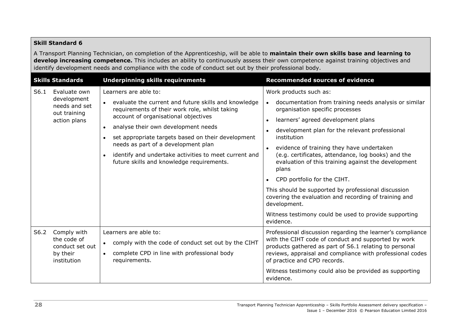#### **Skill Standard 6**

A Transport Planning Technician, on completion of the Apprenticeship, will be able to **maintain their own skills base and learning to develop increasing competence.** This includes an ability to continuously assess their own competence against training objectives and identify development needs and compliance with the code of conduct set out by their professional body.

<span id="page-31-0"></span>

| <b>Skills Standards</b> |                                                                              | <b>Underpinning skills requirements</b>                                                                                                                                                                                                                                                                                                                                                                                                                  | <b>Recommended sources of evidence</b>                                                                                                                                                                                                                                                                                                                                                                                                                                                                                                                                                                                                                                   |
|-------------------------|------------------------------------------------------------------------------|----------------------------------------------------------------------------------------------------------------------------------------------------------------------------------------------------------------------------------------------------------------------------------------------------------------------------------------------------------------------------------------------------------------------------------------------------------|--------------------------------------------------------------------------------------------------------------------------------------------------------------------------------------------------------------------------------------------------------------------------------------------------------------------------------------------------------------------------------------------------------------------------------------------------------------------------------------------------------------------------------------------------------------------------------------------------------------------------------------------------------------------------|
| S6.1                    | Evaluate own<br>development<br>needs and set<br>out training<br>action plans | Learners are able to:<br>evaluate the current and future skills and knowledge<br>requirements of their work role, whilst taking<br>account of organisational objectives<br>analyse their own development needs<br>$\bullet$<br>set appropriate targets based on their development<br>$\bullet$<br>needs as part of a development plan<br>identify and undertake activities to meet current and<br>$\bullet$<br>future skills and knowledge requirements. | Work products such as:<br>documentation from training needs analysis or similar<br>$\bullet$<br>organisation specific processes<br>learners' agreed development plans<br>$\bullet$<br>development plan for the relevant professional<br>institution<br>evidence of training they have undertaken<br>$\bullet$<br>(e.g. certificates, attendance, log books) and the<br>evaluation of this training against the development<br>plans<br>CPD portfolio for the CIHT.<br>This should be supported by professional discussion<br>covering the evaluation and recording of training and<br>development.<br>Witness testimony could be used to provide supporting<br>evidence. |
| S6.2                    | Comply with<br>the code of<br>conduct set out<br>by their<br>institution     | Learners are able to:<br>comply with the code of conduct set out by the CIHT<br>$\bullet$<br>complete CPD in line with professional body<br>$\bullet$<br>requirements.                                                                                                                                                                                                                                                                                   | Professional discussion regarding the learner's compliance<br>with the CIHT code of conduct and supported by work<br>products gathered as part of S6.1 relating to personal<br>reviews, appraisal and compliance with professional codes<br>of practice and CPD records.<br>Witness testimony could also be provided as supporting<br>evidence.                                                                                                                                                                                                                                                                                                                          |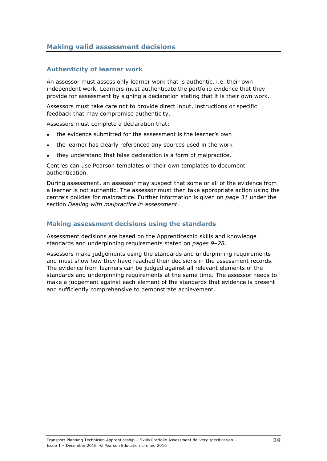# <span id="page-32-0"></span>**Making valid assessment decisions**

#### **Authenticity of learner work**

An assessor must assess only learner work that is authentic, i.e. their own independent work. Learners must authenticate the portfolio evidence that they provide for assessment by signing a declaration stating that it is their own work.

Assessors must take care not to provide direct input, instructions or specific feedback that may compromise authenticity.

Assessors must complete a declaration that:

- the evidence submitted for the assessment is the learner's own
- the learner has clearly referenced any sources used in the work
- they understand that false declaration is a form of malpractice.

Centres can use Pearson templates or their own templates to document authentication.

During assessment, an assessor may suspect that some or all of the evidence from a learner is not authentic. The assessor must then take appropriate action using the centre's policies for malpractice. Further information is given on *page [31](#page-34-1)* under the section *Dealing with malpractice in assessment*.

#### **Making assessment decisions using the standards**

Assessment decisions are based on the Apprenticeship skills and knowledge standards and underpinning requirements stated on *pages 9[–28](#page-31-0)*.

Assessors make judgements using the standards and underpinning requirements and must show how they have reached their decisions in the assessment records. The evidence from learners can be judged against all relevant elements of the standards and underpinning requirements at the same time. The assessor needs to make a judgement against each element of the standards that evidence is present and sufficiently comprehensive to demonstrate achievement.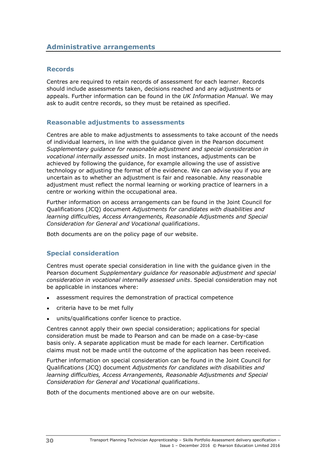#### <span id="page-33-0"></span>**Records**

Centres are required to retain records of assessment for each learner. Records should include assessments taken, decisions reached and any adjustments or appeals. Further information can be found in the *UK Information Manual.* We may ask to audit centre records, so they must be retained as specified.

#### **Reasonable adjustments to assessments**

Centres are able to make adjustments to assessments to take account of the needs of individual learners, in line with the guidance given in the Pearson document *Supplementary guidance for reasonable adjustment and special consideration in vocational internally assessed units*. In most instances, adjustments can be achieved by following the guidance, for example allowing the use of assistive technology or adjusting the format of the evidence. We can advise you if you are uncertain as to whether an adjustment is fair and reasonable. Any reasonable adjustment must reflect the normal learning or working practice of learners in a centre or working within the occupational area.

Further information on access arrangements can be found in the Joint Council for Qualifications (JCQ) document *Adjustments for candidates with disabilities and learning difficulties, Access Arrangements, Reasonable Adjustments and Special Consideration for General and Vocational qualifications*.

Both documents are on the policy page of our website.

### **Special consideration**

Centres must operate special consideration in line with the guidance given in the Pearson document *Supplementary guidance for reasonable adjustment and special consideration in vocational internally assessed units*. Special consideration may not be applicable in instances where:

- assessment requires the demonstration of practical competence
- criteria have to be met fully
- units/qualifications confer licence to practice.

Centres cannot apply their own special consideration; applications for special consideration must be made to Pearson and can be made on a case-by-case basis only. A separate application must be made for each learner. Certification claims must not be made until the outcome of the application has been received.

Further information on special consideration can be found in the Joint Council for Qualifications (JCQ) document *Adjustments for candidates with disabilities and learning difficulties, Access Arrangements, Reasonable Adjustments and Special Consideration for General and Vocational qualifications*.

Both of the documents mentioned above are on our website.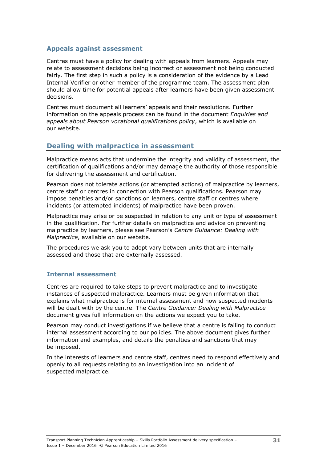#### **Appeals against assessment**

Centres must have a policy for dealing with appeals from learners. Appeals may relate to assessment decisions being incorrect or assessment not being conducted fairly. The first step in such a policy is a consideration of the evidence by a Lead Internal Verifier or other member of the programme team. The assessment plan should allow time for potential appeals after learners have been given assessment decisions.

Centres must document all learners' appeals and their resolutions. Further information on the appeals process can be found in the document *Enquiries and appeals about Pearson vocational qualifications policy*, which is available on our website.

### <span id="page-34-1"></span><span id="page-34-0"></span>**Dealing with malpractice in assessment**

Malpractice means acts that undermine the integrity and validity of assessment, the certification of qualifications and/or may damage the authority of those responsible for delivering the assessment and certification.

Pearson does not tolerate actions (or attempted actions) of malpractice by learners, centre staff or centres in connection with Pearson qualifications. Pearson may impose penalties and/or sanctions on learners, centre staff or centres where incidents (or attempted incidents) of malpractice have been proven.

Malpractice may arise or be suspected in relation to any unit or type of assessment in the qualification. For further details on malpractice and advice on preventing malpractice by learners, please see Pearson's *Centre Guidance: Dealing with Malpractice*, available on our website.

The procedures we ask you to adopt vary between units that are internally assessed and those that are externally assessed.

#### **Internal assessment**

Centres are required to take steps to prevent malpractice and to investigate instances of suspected malpractice. Learners must be given information that explains what malpractice is for internal assessment and how suspected incidents will be dealt with by the centre. The *Centre Guidance: Dealing with Malpractice* document gives full information on the actions we expect you to take.

Pearson may conduct investigations if we believe that a centre is failing to conduct internal assessment according to our policies. The above document gives further information and examples, and details the penalties and sanctions that may be imposed.

In the interests of learners and centre staff, centres need to respond effectively and openly to all requests relating to an investigation into an incident of suspected malpractice.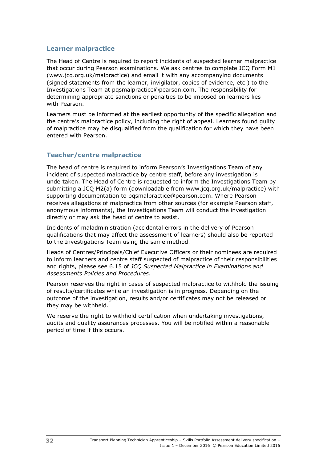#### **Learner malpractice**

The Head of Centre is required to report incidents of suspected learner malpractice that occur during Pearson examinations. We ask centres to complete JCQ Form M1 (www.jcq.org.uk/malpractice) and email it with any accompanying documents (signed statements from the learner, invigilator, copies of evidence, etc.) to the Investigations Team at pqsmalpractice@pearson.com. The responsibility for determining appropriate sanctions or penalties to be imposed on learners lies with Pearson.

Learners must be informed at the earliest opportunity of the specific allegation and the centre's malpractice policy, including the right of appeal. Learners found guilty of malpractice may be disqualified from the qualification for which they have been entered with Pearson.

### **Teacher/centre malpractice**

The head of centre is required to inform Pearson's Investigations Team of any incident of suspected malpractice by centre staff, before any investigation is undertaken. The Head of Centre is requested to inform the Investigations Team by submitting a JCQ M2(a) form (downloadable from www.jcq.org.uk/malpractice) with supporting documentation to pqsmalpractice@pearson.com. Where Pearson receives allegations of malpractice from other sources (for example Pearson staff, anonymous informants), the Investigations Team will conduct the investigation directly or may ask the head of centre to assist.

Incidents of maladministration (accidental errors in the delivery of Pearson qualifications that may affect the assessment of learners) should also be reported to the Investigations Team using the same method.

Heads of Centres/Principals/Chief Executive Officers or their nominees are required to inform learners and centre staff suspected of malpractice of their responsibilities and rights, please see 6.15 of *JCQ Suspected Malpractice in Examinations and Assessments Policies and Procedures*.

Pearson reserves the right in cases of suspected malpractice to withhold the issuing of results/certificates while an investigation is in progress. Depending on the outcome of the investigation, results and/or certificates may not be released or they may be withheld.

We reserve the right to withhold certification when undertaking investigations, audits and quality assurances processes. You will be notified within a reasonable period of time if this occurs.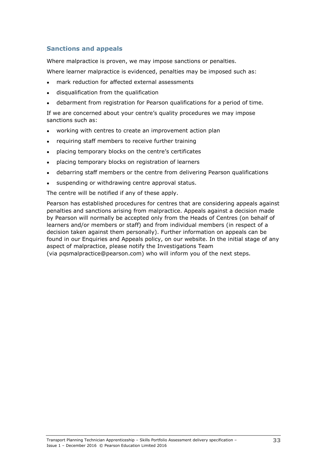### **Sanctions and appeals**

Where malpractice is proven, we may impose sanctions or penalties.

Where learner malpractice is evidenced, penalties may be imposed such as:

- mark reduction for affected external assessments
- disqualification from the qualification
- debarment from registration for Pearson qualifications for a period of time.

If we are concerned about your centre's quality procedures we may impose sanctions such as:

- working with centres to create an improvement action plan
- requiring staff members to receive further training
- placing temporary blocks on the centre's certificates
- placing temporary blocks on registration of learners
- debarring staff members or the centre from delivering Pearson qualifications
- suspending or withdrawing centre approval status.

The centre will be notified if any of these apply.

Pearson has established procedures for centres that are considering appeals against penalties and sanctions arising from malpractice. Appeals against a decision made by Pearson will normally be accepted only from the Heads of Centres (on behalf of learners and/or members or staff) and from individual members (in respect of a decision taken against them personally). Further information on appeals can be found in our Enquiries and Appeals policy, on our website. In the initial stage of any aspect of malpractice, please notify the Investigations Team (via pqsmalpractice@pearson.com) who will inform you of the next steps.

Transport Planning Technician Apprenticeship – Skills Portfolio Assessment delivery specification – Issue 1 – December 2016 © Pearson Education Limited 2016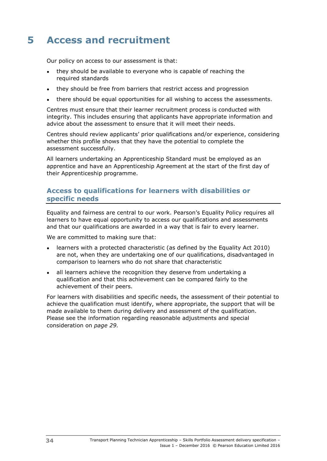# <span id="page-37-0"></span>**5 Access and recruitment**

Our policy on access to our assessment is that:

- they should be available to everyone who is capable of reaching the required standards
- they should be free from barriers that restrict access and progression
- there should be equal opportunities for all wishing to access the assessments.

Centres must ensure that their learner recruitment process is conducted with integrity. This includes ensuring that applicants have appropriate information and advice about the assessment to ensure that it will meet their needs.

Centres should review applicants' prior qualifications and/or experience, considering whether this profile shows that they have the potential to complete the assessment successfully.

All learners undertaking an Apprenticeship Standard must be employed as an apprentice and have an Apprenticeship Agreement at the start of the first day of their Apprenticeship programme.

### <span id="page-37-1"></span>**Access to qualifications for learners with disabilities or specific needs**

Equality and fairness are central to our work. Pearson's Equality Policy requires all learners to have equal opportunity to access our qualifications and assessments and that our qualifications are awarded in a way that is fair to every learner.

We are committed to making sure that:

- learners with a protected characteristic (as defined by the Equality Act 2010) are not, when they are undertaking one of our qualifications, disadvantaged in comparison to learners who do not share that characteristic
- all learners achieve the recognition they deserve from undertaking a qualification and that this achievement can be compared fairly to the achievement of their peers.

For learners with disabilities and specific needs, the assessment of their potential to achieve the qualification must identify, where appropriate, the support that will be made available to them during delivery and assessment of the qualification. Please see the information regarding reasonable adjustments and special consideration on *page 29.*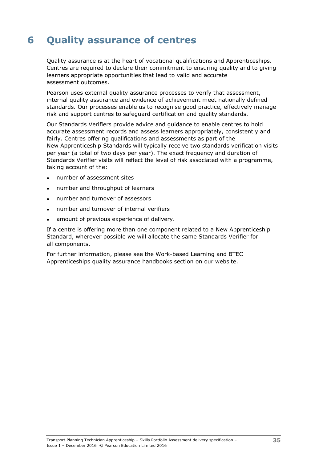# <span id="page-38-0"></span>**6 Quality assurance of centres**

Quality assurance is at the heart of vocational qualifications and Apprenticeships. Centres are required to declare their commitment to ensuring quality and to giving learners appropriate opportunities that lead to valid and accurate assessment outcomes.

Pearson uses external quality assurance processes to verify that assessment, internal quality assurance and evidence of achievement meet nationally defined standards. Our processes enable us to recognise good practice, effectively manage risk and support centres to safeguard certification and quality standards.

Our Standards Verifiers provide advice and guidance to enable centres to hold accurate assessment records and assess learners appropriately, consistently and fairly. Centres offering qualifications and assessments as part of the New Apprenticeship Standards will typically receive two standards verification visits per year (a total of two days per year). The exact frequency and duration of Standards Verifier visits will reflect the level of risk associated with a programme, taking account of the:

- number of assessment sites
- number and throughput of learners
- number and turnover of assessors
- number and turnover of internal verifiers
- amount of previous experience of delivery.

If a centre is offering more than one component related to a New Apprenticeship Standard, wherever possible we will allocate the same Standards Verifier for all components.

For further information, please see the Work-based Learning and BTEC Apprenticeships quality assurance handbooks section on our website.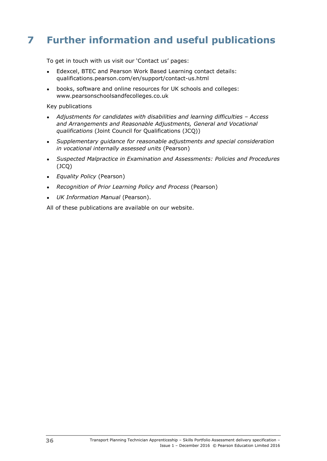# <span id="page-39-0"></span>**7 Further information and useful publications**

To get in touch with us visit our 'Contact us' pages:

- Edexcel, BTEC and Pearson Work Based Learning contact details: qualifications.pearson.com/en/support/contact-us.html
- books, software and online resources for UK schools and colleges: www.pearsonschoolsandfecolleges.co.uk

Key publications

- *Adjustments for candidates with disabilities and learning difficulties – Access and Arrangements and Reasonable Adjustments, General and Vocational qualifications* (Joint Council for Qualifications (JCQ))
- *Supplementary guidance for reasonable adjustments and special consideration in vocational internally assessed units* (Pearson)
- *Suspected Malpractice in Examination and Assessments: Policies and Procedures*  (JCQ)
- *Equality Policy* (Pearson)
- *Recognition of Prior Learning Policy and Process* (Pearson)
- *UK Information Manual* (Pearson).

All of these publications are available on our website.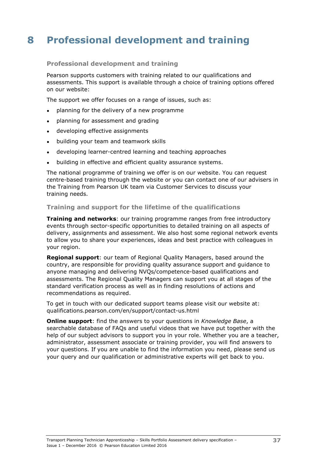# <span id="page-40-0"></span>**8 Professional development and training**

#### **Professional development and training**

Pearson supports customers with training related to our qualifications and assessments. This support is available through a choice of training options offered on our website:

The support we offer focuses on a range of issues, such as:

- planning for the delivery of a new programme
- planning for assessment and grading
- developing effective assignments
- building your team and teamwork skills
- developing learner-centred learning and teaching approaches
- building in effective and efficient quality assurance systems.

The national programme of training we offer is on our website. You can request centre-based training through the website or you can contact one of our advisers in the Training from Pearson UK team via Customer Services to discuss your training needs.

#### **Training and support for the lifetime of the qualifications**

**Training and networks**: our training programme ranges from free introductory events through sector-specific opportunities to detailed training on all aspects of delivery, assignments and assessment. We also host some regional network events to allow you to share your experiences, ideas and best practice with colleagues in your region.

**Regional support**: our team of Regional Quality Managers, based around the country, are responsible for providing quality assurance support and guidance to anyone managing and delivering NVQs/competence-based qualifications and assessments. The Regional Quality Managers can support you at all stages of the standard verification process as well as in finding resolutions of actions and recommendations as required.

To get in touch with our dedicated support teams please visit our website at: qualifications.pearson.com/en/support/contact-us.html

**Online support**: find the answers to your questions in *Knowledge Base*, a searchable database of FAQs and useful videos that we have put together with the help of our subject advisors to support you in your role. Whether you are a teacher, administrator, assessment associate or training provider, you will find answers to your questions. If you are unable to find the information you need, please send us your query and our qualification or administrative experts will get back to you.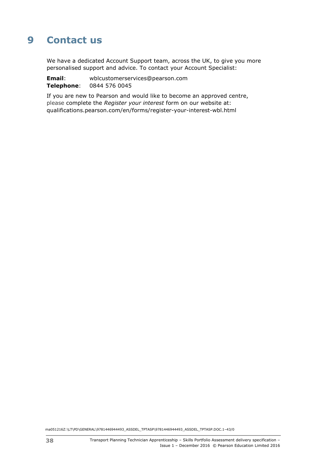# <span id="page-41-0"></span>**9 Contact us**

We have a dedicated Account Support team, across the UK, to give you more personalised support and advice. To contact your Account Specialist:

**Email**: wblcustomerservices@pearson.com **Telephone**: 0844 576 0045

If you are new to Pearson and would like to become an approved centre, please complete the *Register your interest* form on our website at: qualifications.pearson.com/en/forms/register-your-interest-wbl.html

ma051216Z:\LT\PD\GENERAL\9781446944493\_ASSDEL\_TPTASP\9781446944493\_ASSDEL\_TPTASP.DOC.1–43/0